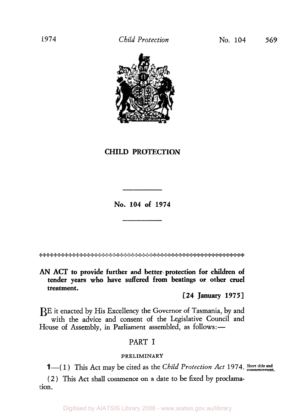

# **CHILD PROTECTION**

**No. 104 of 1974** 

والمشارع والمستقار والمستقار والمستورث والمستقار والمرادي والمستعمل والمستعمل والمستعمل والمستعمل والمستعمر والمستعمر

*AN* **ACT to provide further and better protection for children of tender years who have suffered from beatings or other cruel treatment.** 

**[24 January 1975]** 

BE it enacted by His Excellency the Governor of Tasmania, by and with the advice and consent of the Legislative Council and House of Assembly, in Parliament assembled, as follows:-

# PART I

# **PRELIMINARY**

**1**—(1) This Act may be cited as the *Child Protection Act* 1974. Short title and

( 2 ) This Act shall commence on a date to be fixed by **proclama**tion.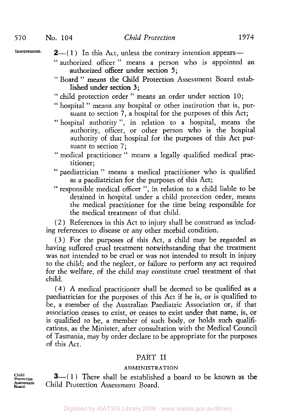- Interpretation.  $2-(1)$  In this Act, unless the contrary intention appears-
	- " authorized officer" means a person who is appointed an authorized officer under section *5;*
	- " Board " means the Child Protection Assessment Board estab lished under section *3;*
	- " child protection order " means an order under section **10;**
	- " hospital " means any hospital or other institution that is, pursuant to section **7,** a hospital for the purposes of this Act;
	- " hospital authority ", in relation to a hospital, means the authority, officer, or other person who is the hospital authority of that hospital for the purposes of this Act pursuant to section 7;
	- " medical practitioner " means a legally qualified medical practitioner;
	- " paediatrician " means a medical practitioner who is qualified as a paediatrician for the purposes of this Act;
	- " responsible medical officer ", in relation to a child liable to be detained in hospital under a child protection order, means the medical practitioner for the time being responsible for the medical treatment of that child.

( 2 ) References in this Act to injury shall be construed as including references to disease or any other morbid condition.

( *3* ) For the purposes of this Act, a child may be regarded as having suffered cruel treatment notwithstanding that the treatment was not intended to be cruel or was not intended to result in injury to the child; and the neglect, or failure to perform any act required for the welfare, of the child may constitute cruel treatment of that child.

**(4)** A medical practitioner shall be deemed to be qualified as a paediatrician for the purposes of this Act if he is, or is qualified to be, a member of the Australian Paediatric Association or, if that association ceases to exist, or ceases to exist under that name, is, or is qualified to be, a member of such body, or holds such qualifications, as the Minister, after consultation with the Medical Council of Tasmania, may by order declare to be appropriate for the purposes of this Act.

# PART II

## **ADMINISTRATION**

**3**—(1) There shall be established a board to be known as the Child Protection Assessment Board.

**Child Protection Assessment Board.**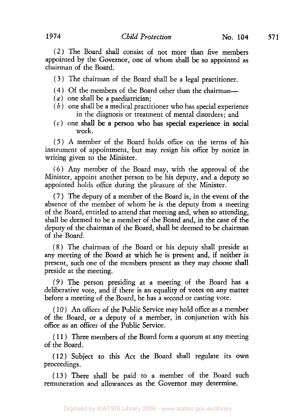(2) The Board shall consist of not more **than** five members appointed by the Governor, one of whom shall be so appointed as chairman of the Board.

(3 ) The chairman of the Board shall be a legal practitioner.

- ( **4** ) Of the members of the Board other than the chairman-
- *(a)* one shall be a paediatrician;
- ( *b* ) one shall be a medical practitioner who has special experience in the diagnosis or treatment of mental disorders; and
- *(c)* one shall be a person who has special experience in social work.

*(5* ) **A** member of the Board holds office on the terms of his instrument of appointment, but may resign his office by notice in writing given to the Minister.

*(6)* Any member of the Board may, with the approval of the Minister, appoint another person to be his deputy, and a deputy so appointed holds office during the pleasure of the Minister.

( 7 ) The deputy of a member of the Board is, in the event of the absence of the member of whom he is the deputy from a meeting of the Board, entitled to attend that meeting and, when so attending, shall be deemed to be a member of the Board and, in the case of the deputy of the chairman of the Board, shall be deemed to be chairman of the Board.

**(8)** The chairman of the Board or his deputy shall preside at any meeting of the Board at which he is present and, if neither is present, such one of the members present as they may choose shall preside at the meeting.

(9) The person presiding at a meeting of the Board has a deliberative vote, and if there is an equality of votes on any matter before a meeting of the Board, he has a second or casting vote.

( 10 ) An officer of the Public Service may hold office as a member of the Board, or a deputy of a member, in conjunction with his office as an officer of the Public Service.

( 11 ) Three members of the Board form a quorum at any meeting of the Board.

(12) Subject to this Act the Board shall regulate its own proceedings.

( 13) There shall be paid to a member of the Board such remuneration and allowances as the Governor may determine.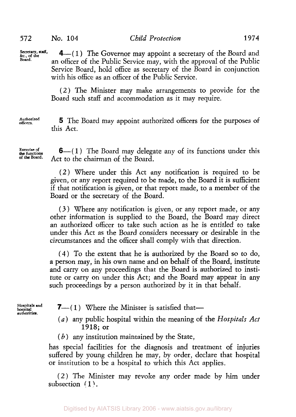Secretary, staff, *&c.,* **Secretary, staff, of the Board.** 

*4-(* 1 ) The Governor may appoint a secretary of the Board and an officer of the Public Service may, with the approval of the Public Service Board, hold office as secretary of the Board in conjunction with his office as an officer of the Public Service.

(2) The Minister may make arrangements to provide for the Board such staff and accommodation as it may require.

**officers. Authorized 5** The Board may appoint authorized officers for the purposes of this Act.

Exercise of  $\mathbf{6}$ —(1) The Board may delegate any of its functions under this of the functions. **of** the Act to the chairman of the Board.

> (2 ) Where under this Act any notification is required to be given, or any report required to be made, to the Board it is sufficient if that notification is given, or that report made, to a member of the Board or the secretary of the Board.

> **(3** ) Where any notification is given, or any report made, or any other information is supplied to the Board, the Board may direct an authorized officer to take such action as he is entitled to take under this Act as the Board considers necessary or desirable in the circumstances and the officer shall comply with that direction.

> (4) To the extent that he is authorized by the Board so to do, **a** person may, in his own name and on behalf of the Board, institute and carry on any proceedings that the Board is authorized to institute or carry on under this Act; and the Board may appear in any such proceedings by a person authorized by it in that behalf.

**Hospitals and hos** ital **hospital authorities** 

**7**—(1) Where the Minister is satisfied that—

- *(a)* any public hospital within the meaning of the *Hospitals Act*  1918; or
- *(b)* any institution maintained by the State,

has special facilities for the diagnosis and treatment of injuries suffered by young children he may, by order, declare that hospital or institution to be a hospital to which this Act applies.

(2 ) The Minister may revoke any order made by him under subsection (1).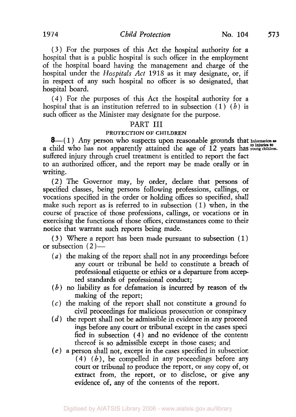*(3* ) For the purposes of this Act the hospital authority for a hospital that is a public hospital is such officer in the employment of the hospital board having the management and charge of the hospital under the *Hospitals Act* 1918 as it may designate, or, if in respect of any such hospital no officer is so designated, that hospital board.

**(4)** For the purposes of this Act the hospital authority for a hospital that is an institution referred to in subsection (1) *(b)* is such officer as the Minister may designate for the purpose.

## PART III

#### **PROTECTION OF CHILDREN**

 $8-(1)$  Any person who suspects upon reasonable grounds that Information as<br>a child who has not apparently attained the age of 12 years has young children. suffered injury through cruel treatment is entitled to report the fact to an authorized officer, and the report may be made orally or in writing.

(2) The Governor may, by order, declare that persons of specified classes, being persons following professions, callings, or vocations specified in the order or holding offices so specified, shall make such report as is referred to in subsection (1) when, in the course of practice of those professions, callings, or vocations or in exercising the functions of those offices, circumstances come to their notice that warrant such reports being made.

**(3)** Where a report has been made pursuant to subsection ( 1) or subsection ( *2* )-

- *(a)* the making of the report shall not in any proceedings before any court or tribunal be held to constitute a breach of professional etiquette or ethics or a departure from accepted standards of professional conduct;
- *(b)* no liability as for defamation is incurred by reason of the making of the report;
- *(c)* the making of the report shall not constitute a ground fo civil proceedings for malicious prosecution or conspiracy
- $(d)$  the report shall not be admissible in evidence in any proceed ings before any court or tribunal except in the cases speci fied in subsection **(4)** and no evidence of the contents thereof is so admissible except in those cases; and
- *(e)* a person shall not, except in the cases specified in subsection **(4)** *(b)* , be compelled in any proceedings before any court or tribunal to produce the report, or any copy of, *or*  extract from, the report, or to disclose, or give any evidence of, any of the contents of the report.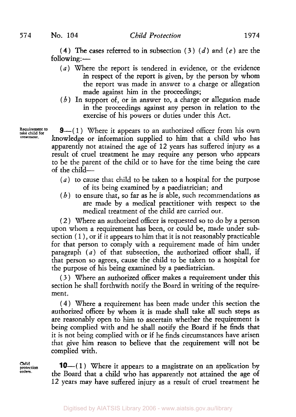**(4) The** cases referred to in subsection **(3** ) *(d)* and *(e)* are the  $(4)$  The case<br>following:  $-$ 

- *(a)* Where the report is tendered in evidence, or the evidence in respect of the report is given, by the person by whom the report was made in answer to a charge or allegation made against him in the proceedings;
- *(b)* In support of, or in answer to, a charge or allegation made in the proceedings against any person in relation to the exercise of his powers or duties under this Act.

Requirement to take child for **treatment.** 

**9**-(1) Where it appears to an authorized officer from his own knowledge or information supplied to him that a child who has apparently not attained the age of 12 years has suffered injury as a result of cruel treatment he may require any person who appears to be the parent of the child or to have for the time being the care of the child-

- *(a)* to cause that child to be taken to a hospital for the purpose of its being examined by a paediatrician; and
- *(b)* to ensure that, so far as he is able, such recommendations as are made by a medical practitioner with respect to the medical treatment of the child are carried out.

( 2 ) Where an authorized officer is requested so to do by a person upon whom a requirement has been, or could be, made under subsection  $(1)$ , or if it appears to him that it is not reasonably practicable for that person to comply with a requirement made of him under paragraph *(a)* of that subsection, the authorized officer shall, if that person so agrees, cause the child to be taken to a hospital for the purpose of his being examined by a paediatrician.

( *3* ) Where an authorized officer makes a requirement under this section he shall forthwith notify the Board in writing of the requirement.

**(4** ) Where a requirement has been made under this section the authorized officer by whom it is made shall take all such steps as are reasonably open to him to ascertain whether the requirement is being complied with and he shall notify the Board if he finds that it is not being complied with or if he finds circumstances have arisen that give him reason to believe that the requirement will not be complied with.

**Child protection orders.** 

**10**—(1) Where it appears to a magistrate on an application by the Board that a child who has apparently not attained the age of 12 years may have suffered injury as a result of cruel treatment he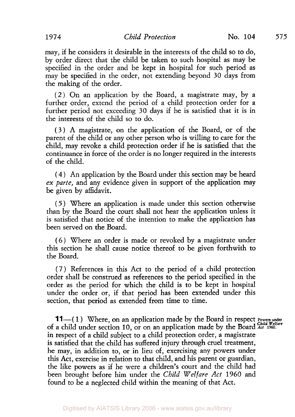may, if he considers it desirable in the interests of the child so to do, by order direct that the child be taken to such hospital as may be specified in the order and be kept in hospital for such period as may be specified in the order, not extending beyond 30 days from the making of the order.

(2 ) On an application by the Board, a magistrate may, by a further order, extend the period of a child protection order for a further period not exceeding 30 days if he is satisfied that it is in the interests of the child *so* to do.

**(3** ) **A** magistrate, on the application of the Board, or of the parent of the child or any other person who is willing to care for the child, may revoke a child protection order if he is satisfied that the continuance in force of the order is no longer required in the interests of the child.

( **4** ) An application by the Board under this section may be heard *ex parte,* and any evidence given in support of the application may be given by affidavit.

*(5)* Where an application is made under this section otherwise than by the Board the court shall not hear the application unless it is satisfied that notice of the intention to make the application has been served on the Board.

*(6)* Where an order is made or revoked by a magistrate under this section he shall cause notice thereof to be given forthwith to the Board.

(7) References in this Act to the period of a child protection order shall be construed as references to the period specified in the order as the period for which the child is to be kept in hospital under the order or, if that period has been extended under this section, that period as extended from time to time.

**11**—(1) Where, on an application made by the Board in respect *Powers under* of a child under section **10,** or on an application made by the Board *Act* **1960.**  in respect of a child subject to a child protection order, a magistrate is satisfied that the child has suffered injury through cruel treatment, he may, in addition to, or in lieu of, exercising any powers under this Act, exercise in relation to that child, and his parent or guardian, the like powers as if he were a children's court and the child had been brought before him under the *Child Welfare Act* **1960** and found to be a neglected child within the meaning of that Act.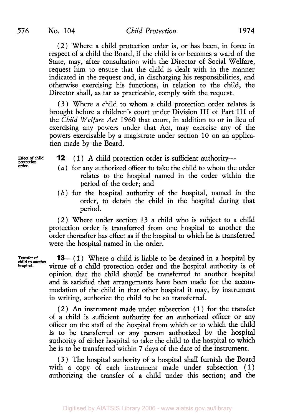576 No. 104 *Child Protection* 1974

**(2)** Where a child protection order is, or has been, in force in respect of a child the Board, if the child is or becomes a ward of the State, may, after consultation with the Director of Social Welfare, request him to ensure that the child is dealt with in the manner indicated in the request and, in discharging his responsibilities, and otherwise exercising his functions, in relation to the child, the Director shall, as far as practicable, comply with the request.

(3 ) Where a child to whom a child protection order relates is brought before a children's court under Division III of Part III of the *Child Welfare Act* 1960 that court, in addition to or in lieu of exercising any powers under that Act, may exercise any of the powers exercisable by a magistrate under section 10 on an application made by the Board.

**protection**  order

- **Effect of child 12**—(1) A child protection order is sufficient authority-
	- *(a)* for any authorized officer to take the child to whom the order relates to the hospital named in the order within the period of the order; and
	- *(b)* for the hospital authority of the hospital, named in the order, to detain the child in the hospital during that period.

(2) Where under section 13 a child who is subject to a child protection order is transferred from one hospital to another the order thereafter has effect as if the hospital to which he **is** transferred were the hospital named in the order.

**13**—(1) Where a child is liable to be detained in a hospital by virtue of a child protection order and the hospital authority is of opinion that the child should be transferred to another hospital and is satisfied that arrangements have been made for the accommodation of the child in that other hospital it may, by instrument in writing, authorize the child to be so transferred.

( **2** ) An instrument made under subsection ( 1 ) for the transfer of a child is sufficient authority for an authorized officer or any officer on the staff of the hospital from which or to which the child is to be transferred or any person authorized by the hospital authority of either hospital to take the child to the hospital to which he is to be transferred within 7 days of the date of the instrument.

**(3)** The hospital authority of a hospital shall furnish the Board with a copy of each instrument made under subsection (1) authorizing the transfer of a child under this section; and the

**Transfer child to** *another* **of hospital.**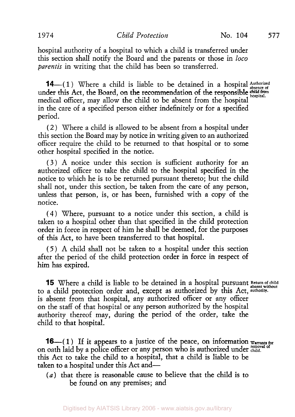hospital authority of a hospital to which a child is transferred under this section shall notify the Board and the parents or those in *loco parentis* in writing that the child has been so transferred.

**14**-(1) Where a child is liable to be detained in a hospital *Authorized*  $\frac{1}{2}$ under this Act, the Board, on the recommendation of the responsible *child from* in  $\mathcal{F}_{\text{bospital}}$ . medical officer, may allow the child to be absent from the hospital in the care of a specified person either indefinitely or for a specified period,

( 2 ) Where a child is allowed to be absent from a hospital under this section the Board may by notice in writing given to an authorized officer require the child to be returned to that hospital or to some other hospital specified in the notice.

**(3)** A notice under this section is sufficient authority for an authorized officer to take the child to the hospital specified in the notice to which he is to be returned pursuant thereto; but the child shall not, under this section, be taken from the care of any person, unless that person, is, or has been, furnished with a copy of the notice.

(4) Where, pursuant to a notice under this section, a child is taken to a hospital other than that specified in the child protection order in force in respect of him he shall be deemed, for the purposes of this Act, to have been transferred to that hospital.

*(5)* A child shall not be taken to a hospital under this section after the period of the child protection order in force in respect of him has expired.

**15** Where a child is liable to be detained in a hospital pursuant Return of child to a child protection order and, except as authorized by this Act, authority. is absent from that hospital, any authorized officer or any officer on the staff of that hospital or any person authorized by the hospital authority thereof may, during the period of the order, take the child to that hospital.

**16**—(1) If it appears to a justice of the peace, on information  $w_{\text{artants for}}$ on oath laid by a police officer or any person who is authorized under **child**. this Act to take the child to a hospital, that a child is liable to be taken to a hospital under this Act and-

*(a)* that there is reasonable cause to believe that the child is to be found on any premises; and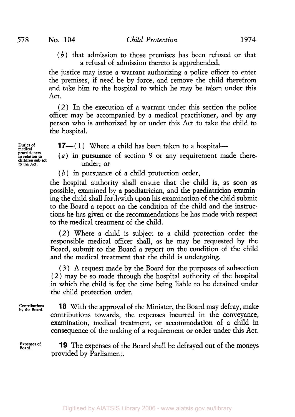*(b)* that admission to those premises has been refused or that a refusal of admission thereto is apprehended,

the justice may issue a warrant authorizing a police officer to enter the premises, if need be by force, and remove the child therefrom and take him to the hospital to which he may be taken under this Act.

(2 ) In the execution of a warrant under this section the police officer may be accompanied by a medical practitioner, and by any person who is authorized by or under this Act to take the child to the hospital.

**pract i tioners children subject in relation to** 

**Duties of 17**—(1) Where a child has been taken to a hospital—

**to the Act.** under; or *(a)* in pursuance of section *9* or any requirement made there-

 $(b)$  in pursuance of a child protection order,

the hospital authority shall ensure that the child is, as soon as possible, examined by a paediatrician, and the paediatrician examining the child shall forthwith upon his examination of the child submit to the Board a report on the condition of the child and the instructions he has given or the recommendations he has made with respect to the medical treatment of the child.

(2) Where a child is subject to a child protection order the responsible medical officer shall, as he may be requested by the Board, submit to the Board a report on the condition of the child and the medical treatment that the child is undergoing.

( **3** ) **A** request made by the Board for the purposes of subsection (2) may be so made through the hospital authority of the hospital in which the child is for the time being liable to be detained under the child protection order.

**Contributions by the** Board. **18** With the approval of the Minister, the Board may defray, make contributions towards, the expenses incurred in the conveyance, examination, medical treatment, or accommodation of a child in consequence of the making of a requirement or order under this Act.

Expenses of **19** The expenses of the Board shall be defrayed out of the moneys provided by Parliament.